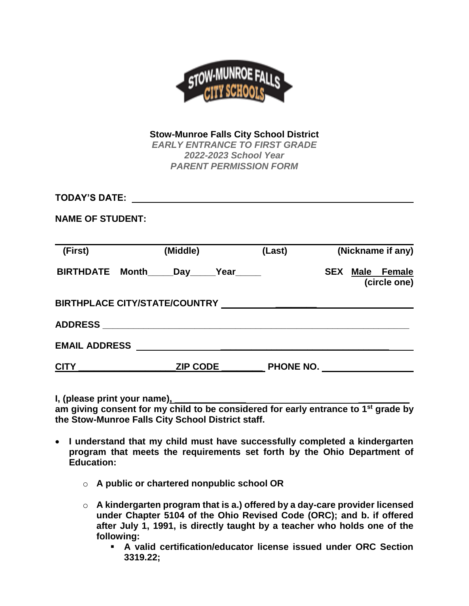

**Stow-Munroe Falls City School District** *EARLY ENTRANCE TO FIRST GRADE 2022-2023 School Year PARENT PERMISSION FORM*

**TODAY'S DATE:** 

**NAME OF STUDENT:**

| (First)              | (Middle)                              | (Last)    | (Nickname if any)                         |
|----------------------|---------------------------------------|-----------|-------------------------------------------|
|                      | BIRTHDATE Month_____Day_____Year_____ |           | Male Female<br><b>SEX</b><br>(circle one) |
|                      |                                       |           |                                           |
| <b>ADDRESS</b>       |                                       |           |                                           |
| <b>EMAIL ADDRESS</b> |                                       |           |                                           |
| <b>CITY</b>          | <b>ZIP CODE</b>                       | PHONE NO. |                                           |

**I, (please print your name), \_\_\_\_\_\_\_\_\_\_\_\_\_\_ \_\_\_\_\_\_\_\_\_\_**

**am giving consent for my child to be considered for early entrance to 1st grade by the Stow-Munroe Falls City School District staff.** 

- **I understand that my child must have successfully completed a kindergarten program that meets the requirements set forth by the Ohio Department of Education:**
	- o **A public or chartered nonpublic school OR**
	- o **A kindergarten program that is a.) offered by a day-care provider licensed under Chapter 5104 of the Ohio Revised Code (ORC); and b. if offered after July 1, 1991, is directly taught by a teacher who holds one of the following:**
		- **A valid certification/educator license issued under ORC Section 3319.22;**